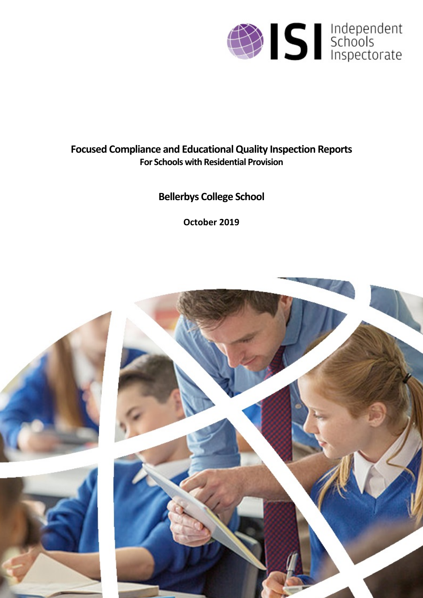

# **Focused Compliance and EducationalQuality Inspection Reports For Schools with Residential Provision**

# **Bellerbys College School**

**October 2019**

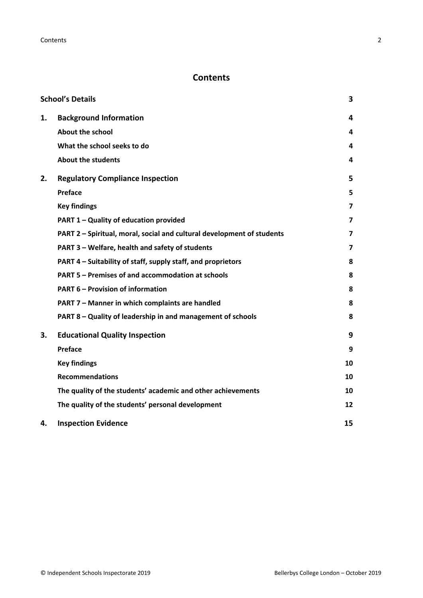# **Contents**

|    | <b>School's Details</b>                                                | 3  |
|----|------------------------------------------------------------------------|----|
| 1. | <b>Background Information</b>                                          | 4  |
|    | <b>About the school</b>                                                | 4  |
|    | What the school seeks to do                                            | 4  |
|    | <b>About the students</b>                                              | 4  |
| 2. | <b>Regulatory Compliance Inspection</b>                                | 5  |
|    | Preface                                                                | 5  |
|    | <b>Key findings</b>                                                    | 7  |
|    | PART 1 - Quality of education provided                                 | 7  |
|    | PART 2 - Spiritual, moral, social and cultural development of students | 7  |
|    | PART 3 - Welfare, health and safety of students                        | 7  |
|    | PART 4 – Suitability of staff, supply staff, and proprietors           | 8  |
|    | PART 5 - Premises of and accommodation at schools                      | 8  |
|    | <b>PART 6 - Provision of information</b>                               | 8  |
|    | PART 7 - Manner in which complaints are handled                        | 8  |
|    | PART 8 - Quality of leadership in and management of schools            | 8  |
| 3. | <b>Educational Quality Inspection</b>                                  | 9  |
|    | Preface                                                                | 9  |
|    | <b>Key findings</b>                                                    | 10 |
|    | <b>Recommendations</b>                                                 | 10 |
|    | The quality of the students' academic and other achievements           | 10 |
|    | The quality of the students' personal development                      | 12 |
| 4. | <b>Inspection Evidence</b>                                             | 15 |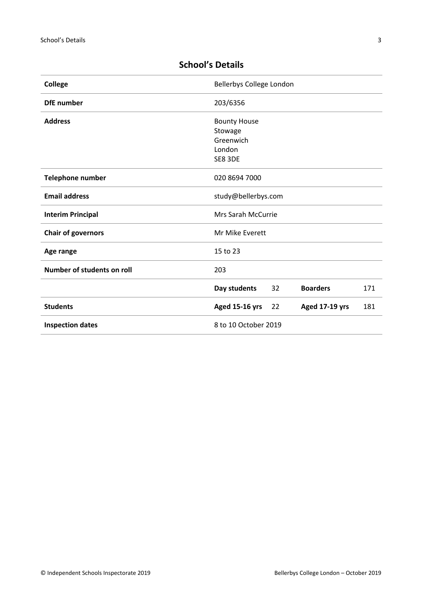| <b>College</b>             | Bellerbys College London                             |
|----------------------------|------------------------------------------------------|
| <b>DfE</b> number          | 203/6356                                             |
| <b>Address</b>             | <b>Bounty House</b>                                  |
|                            | Stowage                                              |
|                            | Greenwich                                            |
|                            | London                                               |
|                            | SE8 3DE                                              |
| Telephone number           | 020 8694 7000                                        |
| <b>Email address</b>       | study@bellerbys.com                                  |
| <b>Interim Principal</b>   | Mrs Sarah McCurrie                                   |
| <b>Chair of governors</b>  | Mr Mike Everett                                      |
| Age range                  | 15 to 23                                             |
| Number of students on roll | 203                                                  |
|                            | <b>Boarders</b><br>Day students<br>32<br>171         |
| <b>Students</b>            | <b>Aged 15-16 yrs</b><br>Aged 17-19 yrs<br>181<br>22 |
| <b>Inspection dates</b>    | 8 to 10 October 2019                                 |

# <span id="page-2-0"></span>**School's Details**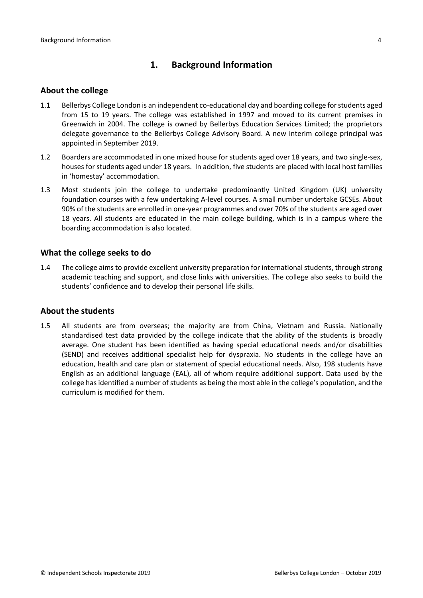# <span id="page-3-0"></span>**1. Background Information**

#### <span id="page-3-1"></span>**About the college**

- 1.1 Bellerbys College London is an independent co-educational day and boarding college forstudents aged from 15 to 19 years. The college was established in 1997 and moved to its current premises in Greenwich in 2004. The college is owned by Bellerbys Education Services Limited; the proprietors delegate governance to the Bellerbys College Advisory Board. A new interim college principal was appointed in September 2019.
- 1.2 Boarders are accommodated in one mixed house for students aged over 18 years, and two single-sex, houses for students aged under 18 years. In addition, five students are placed with local host families in 'homestay' accommodation.
- 1.3 Most students join the college to undertake predominantly United Kingdom (UK) university foundation courses with a few undertaking A-level courses. A small number undertake GCSEs. About 90% of the students are enrolled in one-year programmes and over 70% of the students are aged over 18 years. All students are educated in the main college building, which is in a campus where the boarding accommodation is also located.

#### <span id="page-3-2"></span>**What the college seeks to do**

1.4 The college aims to provide excellent university preparation for international students, through strong academic teaching and support, and close links with universities. The college also seeks to build the students' confidence and to develop their personal life skills.

#### <span id="page-3-3"></span>**About the students**

1.5 All students are from overseas; the majority are from China, Vietnam and Russia. Nationally standardised test data provided by the college indicate that the ability of the students is broadly average. One student has been identified as having special educational needs and/or disabilities (SEND) and receives additional specialist help for dyspraxia. No students in the college have an education, health and care plan or statement of special educational needs. Also, 198 students have English as an additional language (EAL), all of whom require additional support. Data used by the college has identified a number of students as being the most able in the college's population, and the curriculum is modified for them.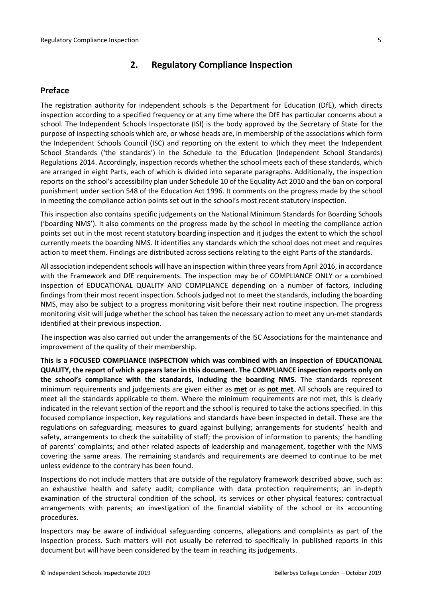# <span id="page-4-0"></span>**2. Regulatory Compliance Inspection**

## <span id="page-4-1"></span>**Preface**

The registration authority for independent schools is the Department for Education (DfE), which directs inspection according to a specified frequency or at any time where the DfE has particular concerns about a school. The Independent Schools Inspectorate (ISI) is the body approved by the Secretary of State for the purpose of inspecting schools which are, or whose heads are, in membership of the associations which form the Independent Schools Council (ISC) and reporting on the extent to which they meet the Independent School Standards ('the standards') in the Schedule to the Education (Independent School Standards) Regulations 2014. Accordingly, inspection records whether the school meets each of these standards, which are arranged in eight Parts, each of which is divided into separate paragraphs. Additionally, the inspection reports on the school's accessibility plan under Schedule 10 of the Equality Act 2010 and the ban on corporal punishment under section 548 of the Education Act 1996. It comments on the progress made by the school in meeting the compliance action points set out in the school's most recent statutory inspection.

This inspection also contains specific judgements on the National Minimum Standards for Boarding Schools ('boarding NMS'). It also comments on the progress made by the school in meeting the compliance action points set out in the most recent statutory boarding inspection and it judges the extent to which the school currently meets the boarding NMS. It identifies any standards which the school does not meet and requires action to meet them. Findings are distributed across sections relating to the eight Parts of the standards.

All association independent schools will have an inspection within three yearsfrom April 2016, in accordance with the Framework and DfE requirements. The inspection may be of COMPLIANCE ONLY or a combined inspection of EDUCATIONAL QUALITY AND COMPLIANCE depending on a number of factors, including findings from their most recent inspection. Schools judged not to meet the standards, including the boarding NMS, may also be subject to a progress monitoring visit before their next routine inspection. The progress monitoring visit will judge whether the school has taken the necessary action to meet any un-met standards identified at their previous inspection.

The inspection was also carried out under the arrangements of the ISC Associations for the maintenance and improvement of the quality of their membership.

**This is a FOCUSED COMPLIANCE INSPECTION which was combined with an inspection of EDUCATIONAL QUALITY, the report of which appears later in this document. The COMPLIANCE inspection reports only on the school's compliance with the standards**, **including the boarding NMS.** The standards represent minimum requirements and judgements are given either as **met** or as **not met**. All schools are required to meet all the standards applicable to them. Where the minimum requirements are not met, this is clearly indicated in the relevant section of the report and the school is required to take the actions specified. In this focused compliance inspection, key regulations and standards have been inspected in detail. These are the regulations on safeguarding; measures to guard against bullying; arrangements for students' health and safety, arrangements to check the suitability of staff; the provision of information to parents; the handling of parents' complaints; and other related aspects of leadership and management, together with the NMS covering the same areas. The remaining standards and requirements are deemed to continue to be met unless evidence to the contrary has been found.

Inspections do not include matters that are outside of the regulatory framework described above, such as: an exhaustive health and safety audit; compliance with data protection requirements; an in-depth examination of the structural condition of the school, its services or other physical features; contractual arrangements with parents; an investigation of the financial viability of the school or its accounting procedures.

Inspectors may be aware of individual safeguarding concerns, allegations and complaints as part of the inspection process. Such matters will not usually be referred to specifically in published reports in this document but will have been considered by the team in reaching its judgements.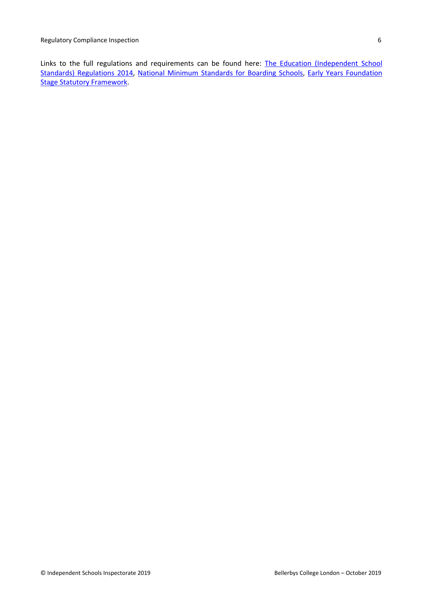Links to the full regulations and requirements can be found here: The Education [\(Independent](http://www.legislation.gov.uk/uksi/2014/3283/contents/made) School Standards) [Regulations](http://www.legislation.gov.uk/uksi/2014/3283/contents/made) 2014, National Minimum [Standards](https://www.gov.uk/government/uploads/system/uploads/attachment_data/file/416186/20150319_nms_bs_standards.pdf) for Boarding Schools, Early Years [Foundation](https://www.gov.uk/government/publications/early-years-foundation-stage-framework--2) Stage Statutory [Framework.](https://www.gov.uk/government/publications/early-years-foundation-stage-framework--2)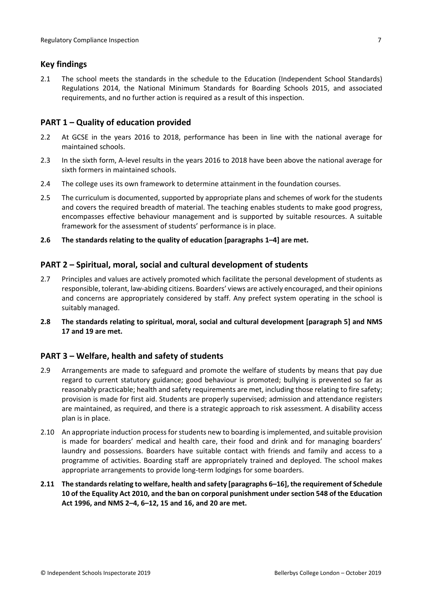## <span id="page-6-0"></span>**Key findings**

2.1 The school meets the standards in the schedule to the Education (Independent School Standards) Regulations 2014, the National Minimum Standards for Boarding Schools 2015, and associated requirements, and no further action is required as a result of this inspection.

## <span id="page-6-1"></span>**PART 1 – Quality of education provided**

- 2.2 At GCSE in the years 2016 to 2018, performance has been in line with the national average for maintained schools.
- 2.3 In the sixth form, A-level results in the years 2016 to 2018 have been above the national average for sixth formers in maintained schools.
- 2.4 The college uses its own framework to determine attainment in the foundation courses.
- 2.5 The curriculum is documented, supported by appropriate plans and schemes of work for the students and covers the required breadth of material. The teaching enables students to make good progress, encompasses effective behaviour management and is supported by suitable resources. A suitable framework for the assessment of students' performance is in place.
- **2.6 The standards relating to the quality of education [paragraphs 1–4] are met.**

## <span id="page-6-2"></span>**PART 2 – Spiritual, moral, social and cultural development of students**

- 2.7 Principles and values are actively promoted which facilitate the personal development of students as responsible, tolerant, law-abiding citizens. Boarders' views are actively encouraged, and their opinions and concerns are appropriately considered by staff. Any prefect system operating in the school is suitably managed.
- **2.8 The standards relating to spiritual, moral, social and cultural development [paragraph 5] and NMS 17 and 19 are met.**

# <span id="page-6-3"></span>**PART 3 – Welfare, health and safety of students**

- 2.9 Arrangements are made to safeguard and promote the welfare of students by means that pay due regard to current statutory guidance; good behaviour is promoted; bullying is prevented so far as reasonably practicable; health and safety requirements are met, including those relating to fire safety; provision is made for first aid. Students are properly supervised; admission and attendance registers are maintained, as required, and there is a strategic approach to risk assessment. A disability access plan is in place.
- 2.10 An appropriate induction process for students new to boarding is implemented, and suitable provision is made for boarders' medical and health care, their food and drink and for managing boarders' laundry and possessions. Boarders have suitable contact with friends and family and access to a programme of activities. Boarding staff are appropriately trained and deployed. The school makes appropriate arrangements to provide long-term lodgings for some boarders.
- **2.11 The standardsrelating to welfare, health and safety [paragraphs 6–16], the requirement of Schedule 10 of the Equality Act 2010, and the ban on corporal punishment undersection 548 of the Education Act 1996, and NMS 2–4, 6–12, 15 and 16, and 20 are met.**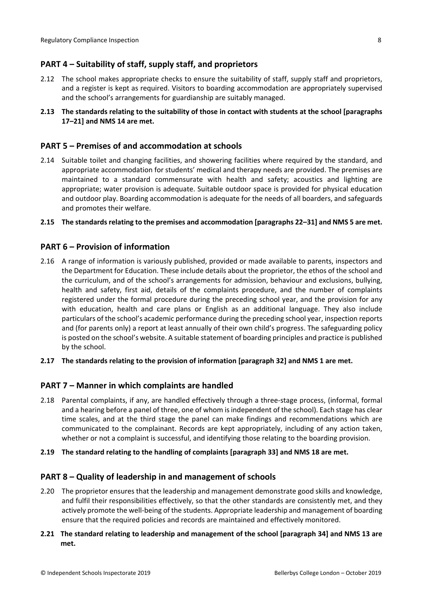# <span id="page-7-0"></span>**PART 4 – Suitability of staff, supply staff, and proprietors**

- 2.12 The school makes appropriate checks to ensure the suitability of staff, supply staff and proprietors, and a register is kept as required. Visitors to boarding accommodation are appropriately supervised and the school's arrangements for guardianship are suitably managed.
- 2.13 The standards relating to the suitability of those in contact with students at the school [paragraphs **17–21] and NMS 14 are met.**

### <span id="page-7-1"></span>**PART 5 – Premises of and accommodation at schools**

2.14 Suitable toilet and changing facilities, and showering facilities where required by the standard, and appropriate accommodation for students' medical and therapy needs are provided. The premises are maintained to a standard commensurate with health and safety; acoustics and lighting are appropriate; water provision is adequate. Suitable outdoor space is provided for physical education and outdoor play. Boarding accommodation is adequate for the needs of all boarders, and safeguards and promotes their welfare.

#### **2.15 The standardsrelating to the premises and accommodation [paragraphs 22–31] and NMS 5 are met.**

#### <span id="page-7-2"></span>**PART 6 – Provision of information**

- 2.16 A range of information is variously published, provided or made available to parents, inspectors and the Department for Education. These include details about the proprietor, the ethos of the school and the curriculum, and of the school's arrangements for admission, behaviour and exclusions, bullying, health and safety, first aid, details of the complaints procedure, and the number of complaints registered under the formal procedure during the preceding school year, and the provision for any with education, health and care plans or English as an additional language. They also include particulars of the school's academic performance during the preceding school year, inspection reports and (for parents only) a report at least annually of their own child's progress. The safeguarding policy is posted on the school's website. A suitable statement of boarding principles and practice is published by the school.
- **2.17 The standards relating to the provision of information [paragraph 32] and NMS 1 are met.**

#### <span id="page-7-3"></span>**PART 7 – Manner in which complaints are handled**

- 2.18 Parental complaints, if any, are handled effectively through a three-stage process, (informal, formal and a hearing before a panel of three, one of whom isindependent of the school). Each stage has clear time scales, and at the third stage the panel can make findings and recommendations which are communicated to the complainant. Records are kept appropriately, including of any action taken, whether or not a complaint is successful, and identifying those relating to the boarding provision.
- **2.19 The standard relating to the handling of complaints [paragraph 33] and NMS 18 are met.**

#### <span id="page-7-4"></span>**PART 8 – Quality of leadership in and management of schools**

- 2.20 The proprietor ensures that the leadership and management demonstrate good skills and knowledge, and fulfil their responsibilities effectively, so that the other standards are consistently met, and they actively promote the well-being of the students. Appropriate leadership and management of boarding ensure that the required policies and records are maintained and effectively monitored.
- **2.21 The standard relating to leadership and management of the school [paragraph 34] and NMS 13 are met.**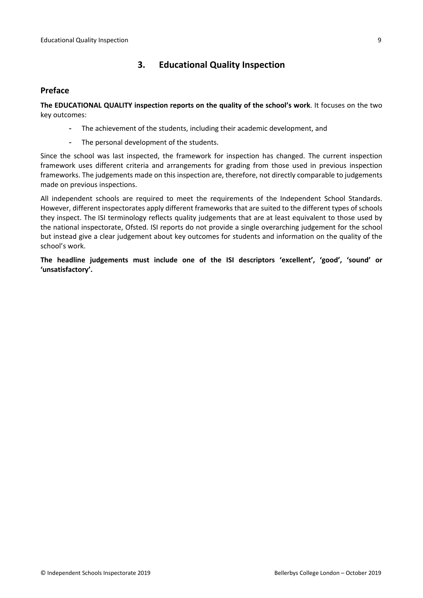# <span id="page-8-0"></span>**3. Educational Quality Inspection**

### <span id="page-8-1"></span>**Preface**

**The EDUCATIONAL QUALITY inspection reports on the quality of the school's work**. It focuses on the two key outcomes:

- The achievement of the students, including their academic development, and
- The personal development of the students.

Since the school was last inspected, the framework for inspection has changed. The current inspection framework uses different criteria and arrangements for grading from those used in previous inspection frameworks. The judgements made on this inspection are, therefore, not directly comparable to judgements made on previous inspections.

All independent schools are required to meet the requirements of the Independent School Standards. However, different inspectorates apply different frameworks that are suited to the different types of schools they inspect. The ISI terminology reflects quality judgements that are at least equivalent to those used by the national inspectorate, Ofsted. ISI reports do not provide a single overarching judgement for the school but instead give a clear judgement about key outcomes for students and information on the quality of the school's work.

**The headline judgements must include one of the ISI descriptors 'excellent', 'good', 'sound' or 'unsatisfactory'.**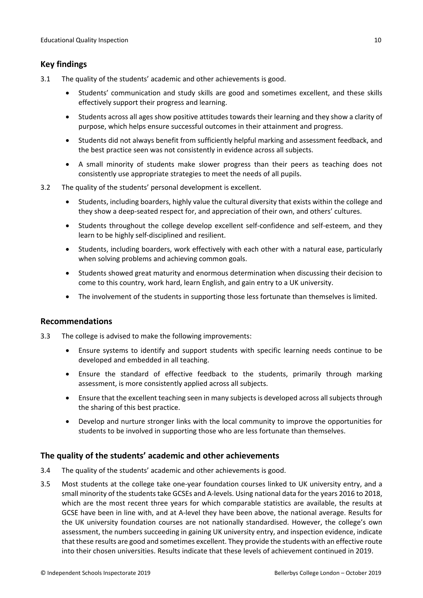## <span id="page-9-0"></span>**Key findings**

- 3.1 The quality of the students' academic and other achievements is good.
	- Students' communication and study skills are good and sometimes excellent, and these skills effectively support their progress and learning.
	- Students across all ages show positive attitudes towards their learning and they show a clarity of purpose, which helps ensure successful outcomes in their attainment and progress.
	- Students did not always benefit from sufficiently helpful marking and assessment feedback, and the best practice seen was not consistently in evidence across all subjects.
	- A small minority of students make slower progress than their peers as teaching does not consistently use appropriate strategies to meet the needs of all pupils.
- 3.2 The quality of the students' personal development is excellent.
	- Students, including boarders, highly value the cultural diversity that exists within the college and they show a deep-seated respect for, and appreciation of their own, and others' cultures.
	- Students throughout the college develop excellent self-confidence and self-esteem, and they learn to be highly self-disciplined and resilient.
	- Students, including boarders, work effectively with each other with a natural ease, particularly when solving problems and achieving common goals.
	- Students showed great maturity and enormous determination when discussing their decision to come to this country, work hard, learn English, and gain entry to a UK university.
	- The involvement of the students in supporting those less fortunate than themselves is limited.

### <span id="page-9-1"></span>**Recommendations**

- 3.3 The college is advised to make the following improvements:
	- Ensure systems to identify and support students with specific learning needs continue to be developed and embedded in all teaching.
	- Ensure the standard of effective feedback to the students, primarily through marking assessment, is more consistently applied across all subjects.
	- Ensure that the excellent teaching seen in many subjects is developed across allsubjects through the sharing of this best practice.
	- Develop and nurture stronger links with the local community to improve the opportunities for students to be involved in supporting those who are less fortunate than themselves.

# <span id="page-9-2"></span>**The quality of the students' academic and other achievements**

- 3.4 The quality of the students' academic and other achievements is good.
- 3.5 Most students at the college take one-year foundation courses linked to UK university entry, and a small minority of the students take GCSEs and A-levels. Using national data for the years 2016 to 2018, which are the most recent three years for which comparable statistics are available, the results at GCSE have been in line with, and at A-level they have been above, the national average. Results for the UK university foundation courses are not nationally standardised. However, the college's own assessment, the numbers succeeding in gaining UK university entry, and inspection evidence, indicate that these results are good and sometimes excellent. They provide the students with an effective route into their chosen universities. Results indicate that these levels of achievement continued in 2019.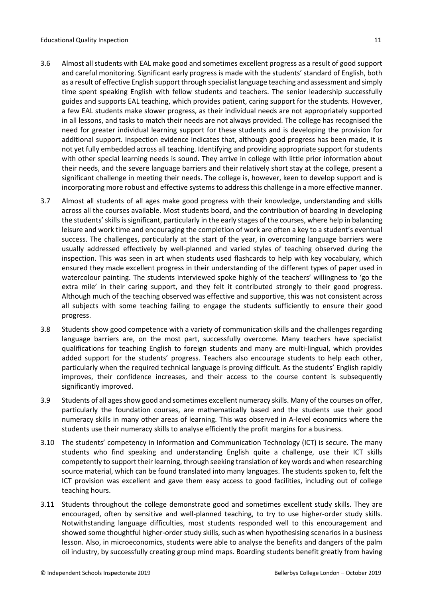- 3.6 Almost all students with EAL make good and sometimes excellent progress as a result of good support and careful monitoring. Significant early progress is made with the students' standard of English, both as a result of effective English support through specialist language teaching and assessment and simply time spent speaking English with fellow students and teachers. The senior leadership successfully guides and supports EAL teaching, which provides patient, caring support for the students. However, a few EAL students make slower progress, as their individual needs are not appropriately supported in all lessons, and tasks to match their needs are not always provided. The college has recognised the need for greater individual learning support for these students and is developing the provision for additional support. Inspection evidence indicates that, although good progress has been made, it is not yet fully embedded across all teaching. Identifying and providing appropriate support for students with other special learning needs is sound. They arrive in college with little prior information about their needs, and the severe language barriers and their relatively short stay at the college, present a significant challenge in meeting their needs. The college is, however, keen to develop support and is incorporating more robust and effective systems to address this challenge in a more effective manner.
- 3.7 Almost all students of all ages make good progress with their knowledge, understanding and skills across all the courses available. Most students board, and the contribution of boarding in developing the students' skills is significant, particularly in the early stages of the courses, where help in balancing leisure and work time and encouraging the completion of work are often a key to a student's eventual success. The challenges, particularly at the start of the year, in overcoming language barriers were usually addressed effectively by well-planned and varied styles of teaching observed during the inspection. This was seen in art when students used flashcards to help with key vocabulary, which ensured they made excellent progress in their understanding of the different types of paper used in watercolour painting. The students interviewed spoke highly of the teachers' willingness to 'go the extra mile' in their caring support, and they felt it contributed strongly to their good progress. Although much of the teaching observed was effective and supportive, this was not consistent across all subjects with some teaching failing to engage the students sufficiently to ensure their good progress.
- 3.8 Students show good competence with a variety of communication skills and the challenges regarding language barriers are, on the most part, successfully overcome. Many teachers have specialist qualifications for teaching English to foreign students and many are multi-lingual, which provides added support for the students' progress. Teachers also encourage students to help each other, particularly when the required technical language is proving difficult. As the students' English rapidly improves, their confidence increases, and their access to the course content is subsequently significantly improved.
- 3.9 Students of all agesshow good and sometimes excellent numeracy skills. Many of the courses on offer, particularly the foundation courses, are mathematically based and the students use their good numeracy skills in many other areas of learning. This was observed in A-level economics where the students use their numeracy skills to analyse efficiently the profit margins for a business.
- 3.10 The students' competency in Information and Communication Technology (ICT) is secure. The many students who find speaking and understanding English quite a challenge, use their ICT skills competently to support their learning, through seeking translation of key words and when researching source material, which can be found translated into many languages. The students spoken to, felt the ICT provision was excellent and gave them easy access to good facilities, including out of college teaching hours.
- 3.11 Students throughout the college demonstrate good and sometimes excellent study skills. They are encouraged, often by sensitive and well-planned teaching, to try to use higher-order study skills. Notwithstanding language difficulties, most students responded well to this encouragement and showed some thoughtful higher-order study skills, such as when hypothesising scenarios in a business lesson. Also, in microeconomics, students were able to analyse the benefits and dangers of the palm oil industry, by successfully creating group mind maps. Boarding students benefit greatly from having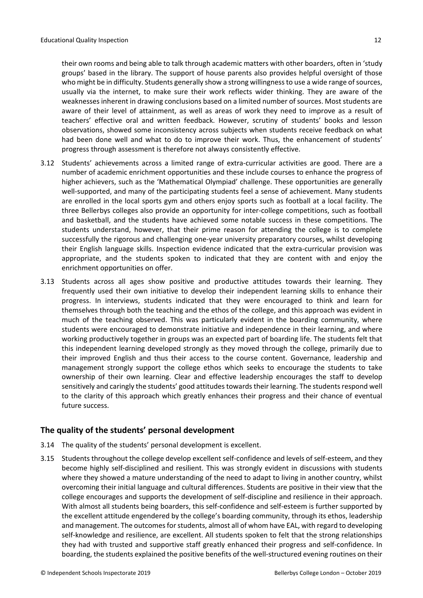their own rooms and being able to talk through academic matters with other boarders, often in 'study groups' based in the library. The support of house parents also provides helpful oversight of those who might be in difficulty. Students generally show a strong willingness to use a wide range of sources, usually via the internet, to make sure their work reflects wider thinking. They are aware of the weaknesses inherent in drawing conclusions based on a limited number of sources. Most students are aware of their level of attainment, as well as areas of work they need to improve as a result of teachers' effective oral and written feedback. However, scrutiny of students' books and lesson observations, showed some inconsistency across subjects when students receive feedback on what had been done well and what to do to improve their work. Thus, the enhancement of students' progress through assessment is therefore not always consistently effective.

- 3.12 Students' achievements across a limited range of extra-curricular activities are good. There are a number of academic enrichment opportunities and these include courses to enhance the progress of higher achievers, such as the 'Mathematical Olympiad' challenge. These opportunities are generally well-supported, and many of the participating students feel a sense of achievement. Many students are enrolled in the local sports gym and others enjoy sports such as football at a local facility. The three Bellerbys colleges also provide an opportunity for inter-college competitions, such as football and basketball, and the students have achieved some notable success in these competitions. The students understand, however, that their prime reason for attending the college is to complete successfully the rigorous and challenging one-year university preparatory courses, whilst developing their English language skills. Inspection evidence indicated that the extra-curricular provision was appropriate, and the students spoken to indicated that they are content with and enjoy the enrichment opportunities on offer.
- 3.13 Students across all ages show positive and productive attitudes towards their learning. They frequently used their own initiative to develop their independent learning skills to enhance their progress. In interviews, students indicated that they were encouraged to think and learn for themselves through both the teaching and the ethos of the college, and this approach was evident in much of the teaching observed. This was particularly evident in the boarding community, where students were encouraged to demonstrate initiative and independence in their learning, and where working productively together in groups was an expected part of boarding life. The students felt that this independent learning developed strongly as they moved through the college, primarily due to their improved English and thus their access to the course content. Governance, leadership and management strongly support the college ethos which seeks to encourage the students to take ownership of their own learning. Clear and effective leadership encourages the staff to develop sensitively and caringly the students' good attitudes towards their learning. The students respond well to the clarity of this approach which greatly enhances their progress and their chance of eventual future success.

### <span id="page-11-0"></span>**The quality of the students' personal development**

- 3.14 The quality of the students' personal development is excellent.
- 3.15 Students throughout the college develop excellent self-confidence and levels of self-esteem, and they become highly self-disciplined and resilient. This was strongly evident in discussions with students where they showed a mature understanding of the need to adapt to living in another country, whilst overcoming their initial language and cultural differences. Students are positive in their view that the college encourages and supports the development of self-discipline and resilience in their approach. With almost all students being boarders, this self-confidence and self-esteem is further supported by the excellent attitude engendered by the college's boarding community, through its ethos, leadership and management. The outcomes for students, almost all of whom have EAL, with regard to developing self-knowledge and resilience, are excellent. All students spoken to felt that the strong relationships they had with trusted and supportive staff greatly enhanced their progress and self-confidence. In boarding, the students explained the positive benefits of the well-structured evening routines on their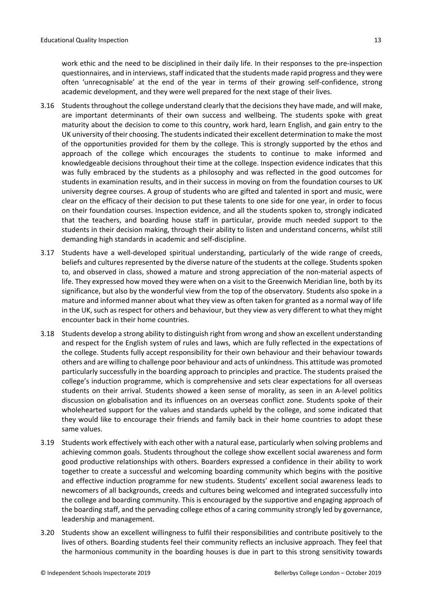work ethic and the need to be disciplined in their daily life. In their responses to the pre-inspection questionnaires, and in interviews, staff indicated that the students made rapid progress and they were often 'unrecognisable' at the end of the year in terms of their growing self-confidence, strong academic development, and they were well prepared for the next stage of their lives.

- 3.16 Students throughout the college understand clearly that the decisions they have made, and will make, are important determinants of their own success and wellbeing. The students spoke with great maturity about the decision to come to this country, work hard, learn English, and gain entry to the UK university of their choosing. The studentsindicated their excellent determination to make the most of the opportunities provided for them by the college. This is strongly supported by the ethos and approach of the college which encourages the students to continue to make informed and knowledgeable decisions throughout their time at the college. Inspection evidence indicates that this was fully embraced by the students as a philosophy and was reflected in the good outcomes for students in examination results, and in their success in moving on from the foundation courses to UK university degree courses. A group of students who are gifted and talented in sport and music, were clear on the efficacy of their decision to put these talents to one side for one year, in order to focus on their foundation courses. Inspection evidence, and all the students spoken to, strongly indicated that the teachers, and boarding house staff in particular, provide much needed support to the students in their decision making, through their ability to listen and understand concerns, whilst still demanding high standards in academic and self-discipline.
- 3.17 Students have a well-developed spiritual understanding, particularly of the wide range of creeds, beliefs and cultures represented by the diverse nature of the students at the college. Students spoken to, and observed in class, showed a mature and strong appreciation of the non-material aspects of life. They expressed how moved they were when on a visit to the Greenwich Meridian line, both by its significance, but also by the wonderful view from the top of the observatory. Students also spoke in a mature and informed manner about what they view as often taken for granted as a normal way of life in the UK, such asrespect for others and behaviour, but they view as very different to what they might encounter back in their home countries.
- 3.18 Students develop a strong ability to distinguish right from wrong and show an excellent understanding and respect for the English system of rules and laws, which are fully reflected in the expectations of the college. Students fully accept responsibility for their own behaviour and their behaviour towards others and are willing to challenge poor behaviour and acts of unkindness. This attitude was promoted particularly successfully in the boarding approach to principles and practice. The students praised the college's induction programme, which is comprehensive and sets clear expectations for all overseas students on their arrival. Students showed a keen sense of morality, as seen in an A-level politics discussion on globalisation and its influences on an overseas conflict zone. Students spoke of their wholehearted support for the values and standards upheld by the college, and some indicated that they would like to encourage their friends and family back in their home countries to adopt these same values.
- 3.19 Students work effectively with each other with a natural ease, particularly when solving problems and achieving common goals. Students throughout the college show excellent social awareness and form good productive relationships with others. Boarders expressed a confidence in their ability to work together to create a successful and welcoming boarding community which begins with the positive and effective induction programme for new students. Students' excellent social awareness leads to newcomers of all backgrounds, creeds and cultures being welcomed and integrated successfully into the college and boarding community. This is encouraged by the supportive and engaging approach of the boarding staff, and the pervading college ethos of a caring community strongly led by governance, leadership and management.
- 3.20 Students show an excellent willingness to fulfil their responsibilities and contribute positively to the lives of others. Boarding students feel their community reflects an inclusive approach. They feel that the harmonious community in the boarding houses is due in part to this strong sensitivity towards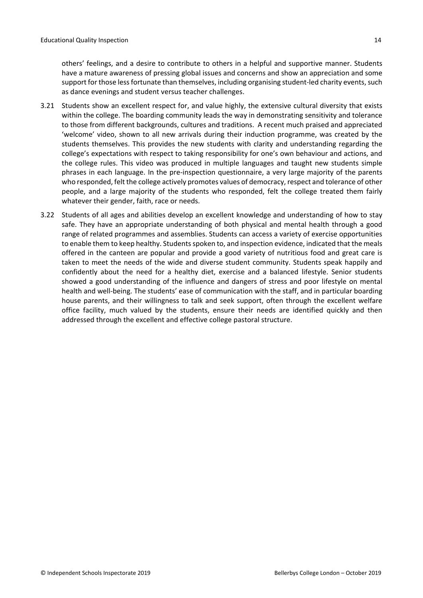others' feelings, and a desire to contribute to others in a helpful and supportive manner. Students have a mature awareness of pressing global issues and concerns and show an appreciation and some support for those less fortunate than themselves, including organising student-led charity events, such as dance evenings and student versus teacher challenges.

- 3.21 Students show an excellent respect for, and value highly, the extensive cultural diversity that exists within the college. The boarding community leads the way in demonstrating sensitivity and tolerance to those from different backgrounds, cultures and traditions. A recent much praised and appreciated 'welcome' video, shown to all new arrivals during their induction programme, was created by the students themselves. This provides the new students with clarity and understanding regarding the college's expectations with respect to taking responsibility for one's own behaviour and actions, and the college rules. This video was produced in multiple languages and taught new students simple phrases in each language. In the pre-inspection questionnaire, a very large majority of the parents who responded, felt the college actively promotes values of democracy, respect and tolerance of other people, and a large majority of the students who responded, felt the college treated them fairly whatever their gender, faith, race or needs.
- 3.22 Students of all ages and abilities develop an excellent knowledge and understanding of how to stay safe. They have an appropriate understanding of both physical and mental health through a good range of related programmes and assemblies. Students can access a variety of exercise opportunities to enable them to keep healthy. Students spoken to, and inspection evidence, indicated that the meals offered in the canteen are popular and provide a good variety of nutritious food and great care is taken to meet the needs of the wide and diverse student community. Students speak happily and confidently about the need for a healthy diet, exercise and a balanced lifestyle. Senior students showed a good understanding of the influence and dangers of stress and poor lifestyle on mental health and well-being. The students' ease of communication with the staff, and in particular boarding house parents, and their willingness to talk and seek support, often through the excellent welfare office facility, much valued by the students, ensure their needs are identified quickly and then addressed through the excellent and effective college pastoral structure.